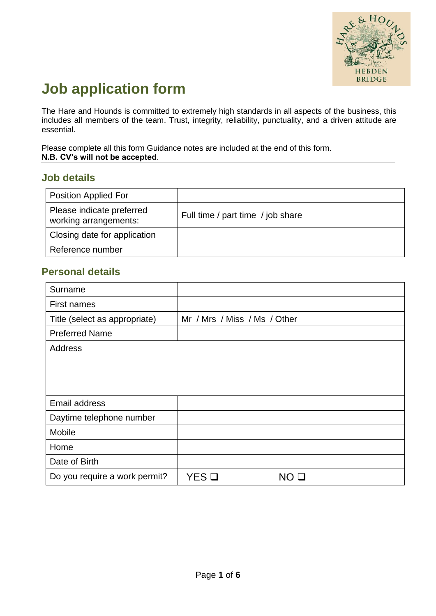

# **Job application form**

The Hare and Hounds is committed to extremely high standards in all aspects of the business, this includes all members of the team. Trust, integrity, reliability, punctuality, and a driven attitude are essential.

Please complete all this form Guidance notes are included at the end of this form. **N.B. CV's will not be accepted**.

#### **Job details**

| <b>Position Applied For</b>                        |                                   |
|----------------------------------------------------|-----------------------------------|
| Please indicate preferred<br>working arrangements: | Full time / part time / job share |
| Closing date for application                       |                                   |
| Reference number                                   |                                   |

#### **Personal details**

| Surname                       |                              |    |
|-------------------------------|------------------------------|----|
| First names                   |                              |    |
| Title (select as appropriate) | Mr / Mrs / Miss / Ms / Other |    |
| <b>Preferred Name</b>         |                              |    |
| Address                       |                              |    |
|                               |                              |    |
|                               |                              |    |
|                               |                              |    |
| Email address                 |                              |    |
| Daytime telephone number      |                              |    |
| Mobile                        |                              |    |
| Home                          |                              |    |
| Date of Birth                 |                              |    |
| Do you require a work permit? | YES O                        | NO |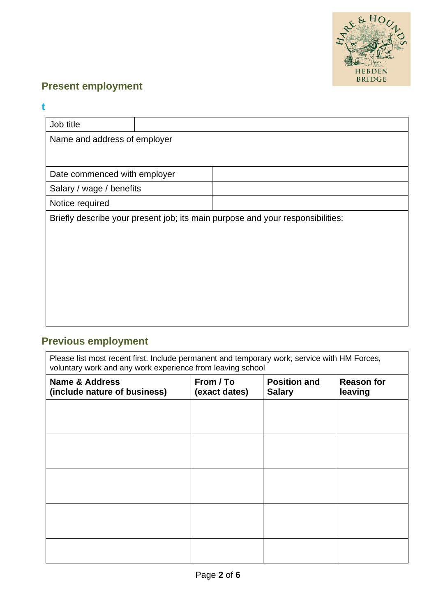

# **Present employment**

#### **t**

| Job title                                                                      |  |  |
|--------------------------------------------------------------------------------|--|--|
| Name and address of employer                                                   |  |  |
|                                                                                |  |  |
|                                                                                |  |  |
| Date commenced with employer                                                   |  |  |
| Salary / wage / benefits                                                       |  |  |
| Notice required                                                                |  |  |
| Briefly describe your present job; its main purpose and your responsibilities: |  |  |
|                                                                                |  |  |
|                                                                                |  |  |
|                                                                                |  |  |
|                                                                                |  |  |
|                                                                                |  |  |
|                                                                                |  |  |
|                                                                                |  |  |
|                                                                                |  |  |

# **Previous employment**

Please list most recent first. Include permanent and temporary work, service with HM Forces, voluntary work and any work experience from leaving school

| <b>Name &amp; Address</b><br>(include nature of business) | From / To<br>(exact dates) | <b>Position and</b><br><b>Salary</b> | <b>Reason for</b><br>leaving |
|-----------------------------------------------------------|----------------------------|--------------------------------------|------------------------------|
|                                                           |                            |                                      |                              |
|                                                           |                            |                                      |                              |
|                                                           |                            |                                      |                              |
|                                                           |                            |                                      |                              |
|                                                           |                            |                                      |                              |
|                                                           |                            |                                      |                              |
|                                                           |                            |                                      |                              |
|                                                           |                            |                                      |                              |
|                                                           |                            |                                      |                              |
|                                                           |                            |                                      |                              |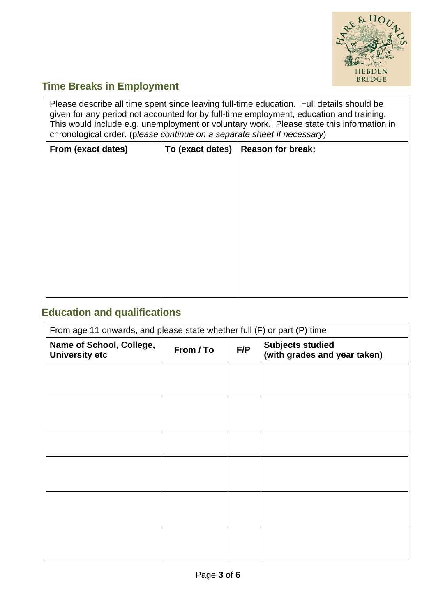

# **Time Breaks in Employment**

Please describe all time spent since leaving full-time education. Full details should be given for any period not accounted for by full-time employment, education and training. This would include e.g. unemployment or voluntary work. Please state this information in chronological order. (p*lease continue on a separate sheet if necessary*)

| From (exact dates) | To (exact dates) | Reason for break: |
|--------------------|------------------|-------------------|
|                    |                  |                   |
|                    |                  |                   |
|                    |                  |                   |
|                    |                  |                   |
|                    |                  |                   |
|                    |                  |                   |
|                    |                  |                   |
|                    |                  |                   |
|                    |                  |                   |

## **Education and qualifications**

| From age 11 onwards, and please state whether full (F) or part (P) time |           |                                                                |  |
|-------------------------------------------------------------------------|-----------|----------------------------------------------------------------|--|
| Name of School, College,<br><b>University etc</b>                       | From / To | <b>Subjects studied</b><br>F/P<br>(with grades and year taken) |  |
|                                                                         |           |                                                                |  |
|                                                                         |           |                                                                |  |
|                                                                         |           |                                                                |  |
|                                                                         |           |                                                                |  |
|                                                                         |           |                                                                |  |
|                                                                         |           |                                                                |  |
|                                                                         |           |                                                                |  |
|                                                                         |           |                                                                |  |
|                                                                         |           |                                                                |  |
|                                                                         |           |                                                                |  |
|                                                                         |           |                                                                |  |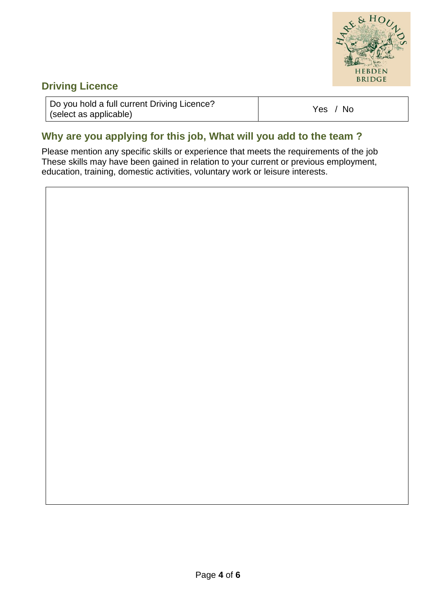

## **Driving Licence**

| Do you hold a full current Driving Licence? | 7. No |
|---------------------------------------------|-------|
| (select as applicable)                      | Yes   |

# **Why are you applying for this job, What will you add to the team ?**

Please mention any specific skills or experience that meets the requirements of the job These skills may have been gained in relation to your current or previous employment, education, training, domestic activities, voluntary work or leisure interests.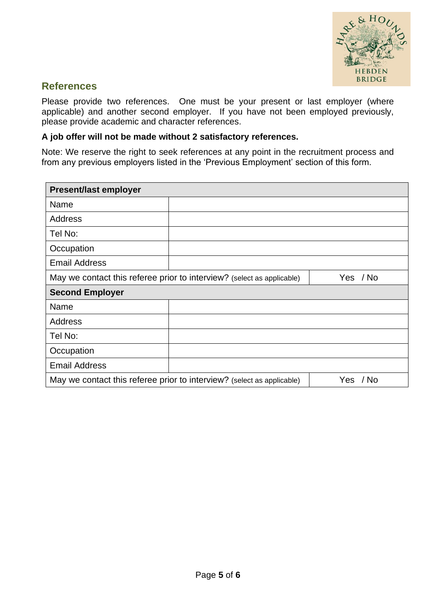

#### **References**

Please provide two references. One must be your present or last employer (where applicable) and another second employer. If you have not been employed previously, please provide academic and character references.

#### **A job offer will not be made without 2 satisfactory references.**

Note: We reserve the right to seek references at any point in the recruitment process and from any previous employers listed in the 'Previous Employment' section of this form.

| <b>Present/last employer</b>                                           |                                                                        |          |  |  |
|------------------------------------------------------------------------|------------------------------------------------------------------------|----------|--|--|
| Name                                                                   |                                                                        |          |  |  |
| <b>Address</b>                                                         |                                                                        |          |  |  |
| Tel No:                                                                |                                                                        |          |  |  |
| Occupation                                                             |                                                                        |          |  |  |
| <b>Email Address</b>                                                   |                                                                        |          |  |  |
| May we contact this referee prior to interview? (select as applicable) |                                                                        | Yes / No |  |  |
| <b>Second Employer</b>                                                 |                                                                        |          |  |  |
| Name                                                                   |                                                                        |          |  |  |
| Address                                                                |                                                                        |          |  |  |
| Tel No:                                                                |                                                                        |          |  |  |
| Occupation                                                             |                                                                        |          |  |  |
| <b>Email Address</b>                                                   |                                                                        |          |  |  |
|                                                                        | May we contact this referee prior to interview? (select as applicable) | Yes / No |  |  |